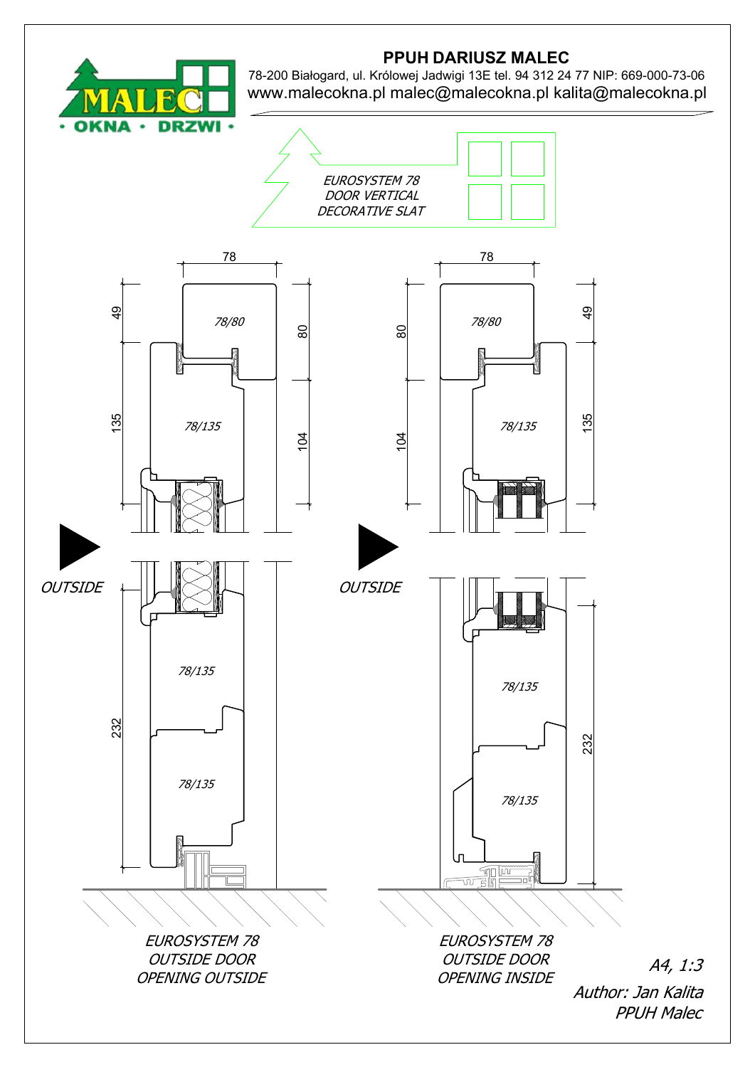

## PPUH DARIUSZ MALEC

78-200 Białogard, ul. Królowej Jadwigi 13E tel. 94 312 24 77 NIP: 669-000-73-06 www.malecokna.pl malec@malecokna.pl kalita@malecokna.pl

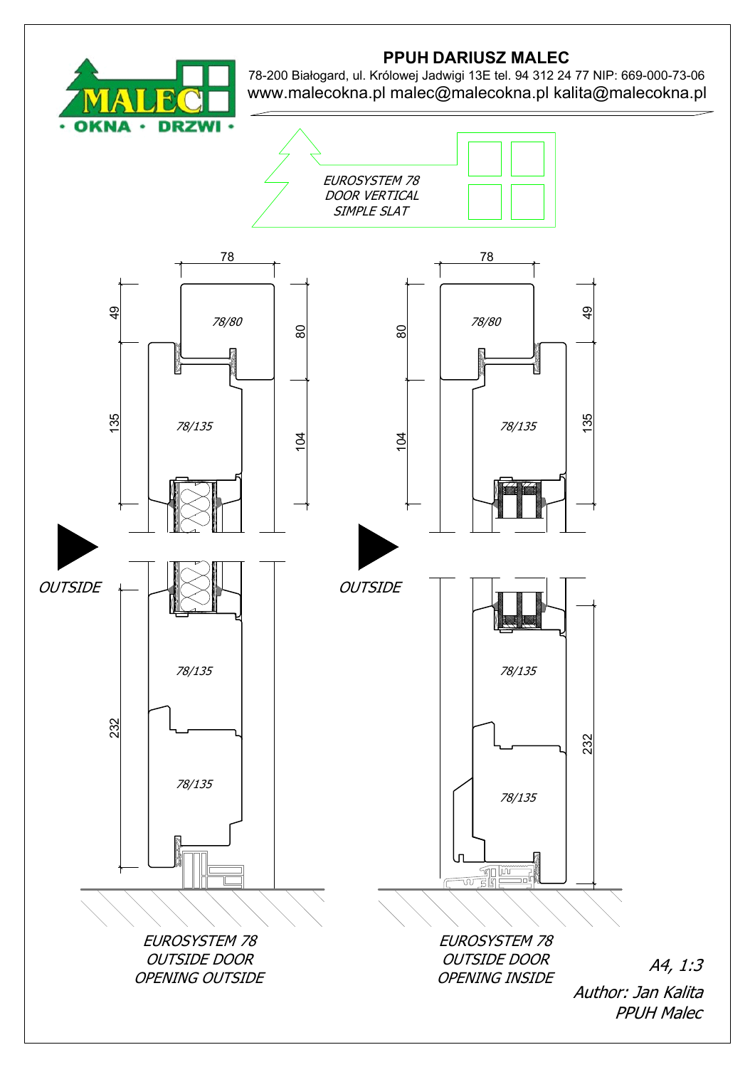

## PPUH DARIUSZ MALEC

78-200 Białogard, ul. Królowej Jadwigi 13E tel. 94 312 24 77 NIP: 669-000-73-06 www.malecokna.pl malec@malecokna.pl kalita@malecokna.pl

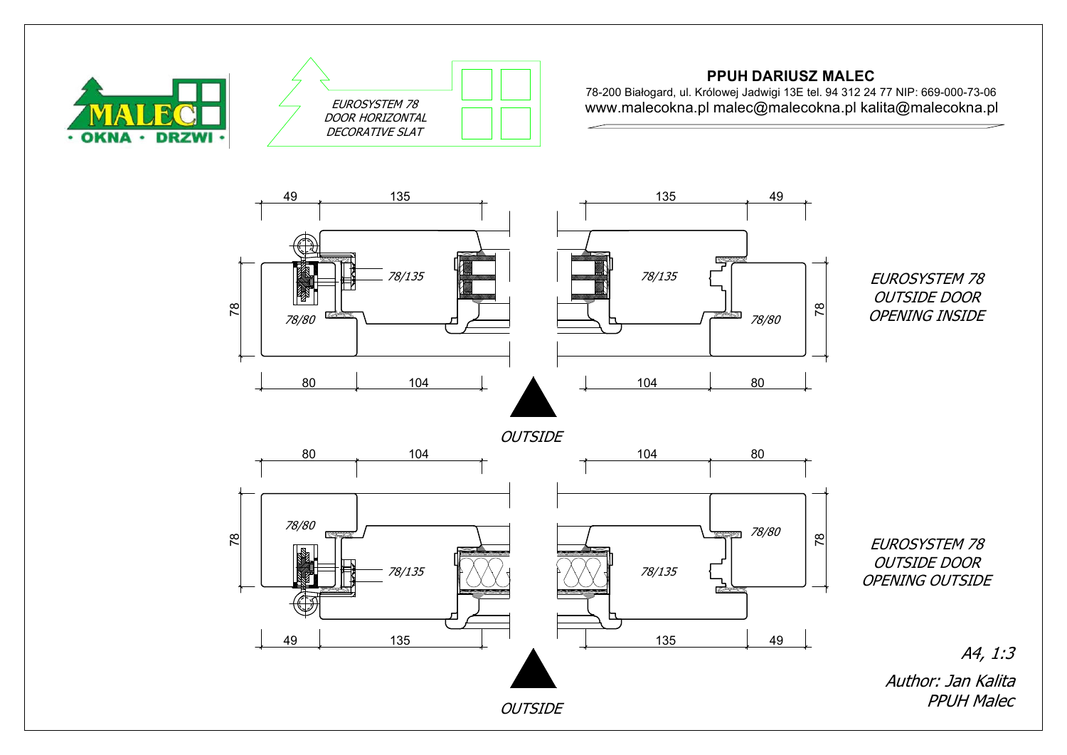